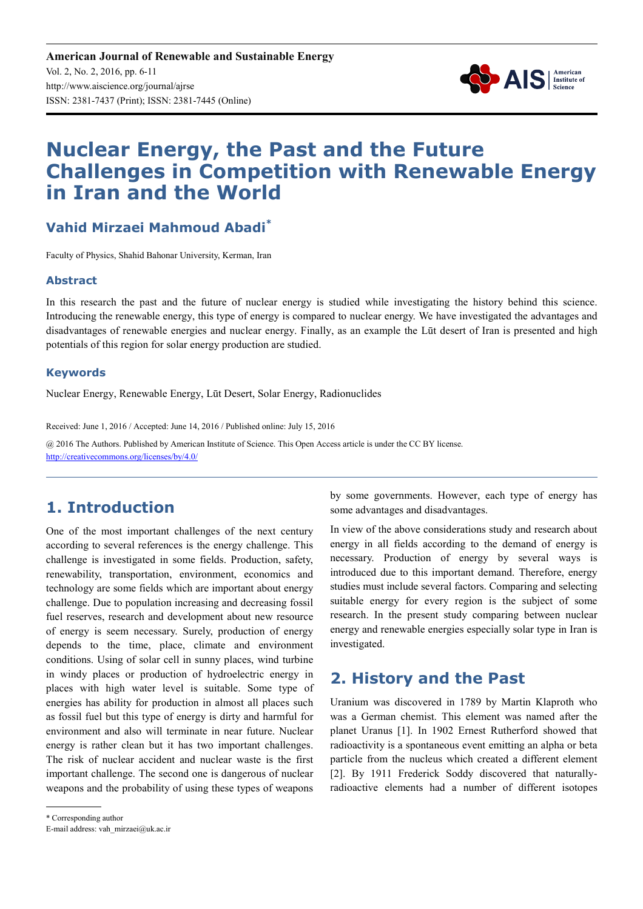**American Journal of Renewable and Sustainable Energy** Vol. 2, No. 2, 2016, pp. 6-11 http://www.aiscience.org/journal/ajrse ISSN: 2381-7437 (Print); ISSN: 2381-7445 (Online)



# **Nuclear Energy, the Past and the Future Challenges in Competition with Renewable Energy in Iran and the World**

### **Vahid Mirzaei Mahmoud Abadi\***

Faculty of Physics, Shahid Bahonar University, Kerman, Iran

#### **Abstract**

In this research the past and the future of nuclear energy is studied while investigating the history behind this science. Introducing the renewable energy, this type of energy is compared to nuclear energy. We have investigated the advantages and disadvantages of renewable energies and nuclear energy. Finally, as an example the Lūt desert of Iran is presented and high potentials of this region for solar energy production are studied.

#### **Keywords**

Nuclear Energy, Renewable Energy, Lūt Desert, Solar Energy, Radionuclides

Received: June 1, 2016 / Accepted: June 14, 2016 / Published online: July 15, 2016 @ 2016 The Authors. Published by American Institute of Science. This Open Access article is under the CC BY license. http://creativecommons.org/licenses/by/4.0/

## **1. Introduction**

One of the most important challenges of the next century according to several references is the energy challenge. This challenge is investigated in some fields. Production, safety, renewability, transportation, environment, economics and technology are some fields which are important about energy challenge. Due to population increasing and decreasing fossil fuel reserves, research and development about new resource of energy is seem necessary. Surely, production of energy depends to the time, place, climate and environment conditions. Using of solar cell in sunny places, wind turbine in windy places or production of hydroelectric energy in places with high water level is suitable. Some type of energies has ability for production in almost all places such as fossil fuel but this type of energy is dirty and harmful for environment and also will terminate in near future. Nuclear energy is rather clean but it has two important challenges. The risk of nuclear accident and nuclear waste is the first important challenge. The second one is dangerous of nuclear weapons and the probability of using these types of weapons by some governments. However, each type of energy has some advantages and disadvantages.

In view of the above considerations study and research about energy in all fields according to the demand of energy is necessary. Production of energy by several ways is introduced due to this important demand. Therefore, energy studies must include several factors. Comparing and selecting suitable energy for every region is the subject of some research. In the present study comparing between nuclear energy and renewable energies especially solar type in Iran is investigated.

### **2. History and the Past**

Uranium was discovered in 1789 by Martin Klaproth who was a German chemist. This element was named after the planet Uranus [1]. In 1902 Ernest Rutherford showed that radioactivity is a spontaneous event emitting an alpha or beta particle from the nucleus which created a different element [2]. By 1911 Frederick Soddy discovered that naturallyradioactive elements had a number of different isotopes

<sup>\*</sup> Corresponding author

E-mail address: vah\_mirzaei@uk.ac.ir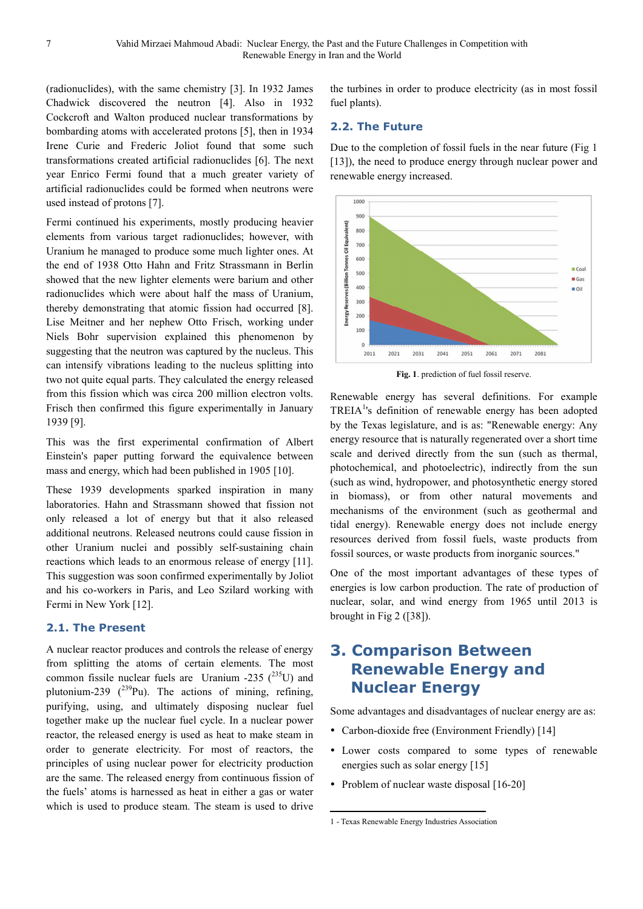(radionuclides), with the same chemistry [3]. In 1932 James Chadwick discovered the neutron [4]. Also in 1932 Cockcroft and Walton produced nuclear transformations by bombarding atoms with accelerated protons [5], then in 1934 Irene Curie and Frederic Joliot found that some such transformations created artificial radionuclides [6]. The next year Enrico Fermi found that a much greater variety of artificial radionuclides could be formed when neutrons were used instead of protons [7].

Fermi continued his experiments, mostly producing heavier elements from various target radionuclides; however, with Uranium he managed to produce some much lighter ones. At the end of 1938 Otto Hahn and Fritz Strassmann in Berlin showed that the new lighter elements were barium and other radionuclides which were about half the mass of Uranium, thereby demonstrating that atomic fission had occurred [8]. Lise Meitner and her nephew Otto Frisch, working under Niels Bohr supervision explained this phenomenon by suggesting that the neutron was captured by the nucleus. This can intensify vibrations leading to the nucleus splitting into two not quite equal parts. They calculated the energy released from this fission which was circa 200 million electron volts. Frisch then confirmed this figure experimentally in January 1939 [9].

This was the first experimental confirmation of Albert Einstein's paper putting forward the equivalence between mass and energy, which had been published in 1905 [10].

These 1939 developments sparked inspiration in many laboratories. Hahn and Strassmann showed that fission not only released a lot of energy but that it also released additional neutrons. Released neutrons could cause fission in other Uranium nuclei and possibly self-sustaining chain reactions which leads to an enormous release of energy [11]. This suggestion was soon confirmed experimentally by Joliot and his co-workers in Paris, and Leo Szilard working with Fermi in New York [12].

#### **2.1. The Present**

A nuclear reactor produces and controls the release of energy from splitting the atoms of certain elements. The most common fissile nuclear fuels are Uranium -235  $(^{235}U)$  and plutonium-239  $(^{239}Pu)$ . The actions of mining, refining, purifying, using, and ultimately disposing nuclear fuel together make up the nuclear fuel cycle. In a nuclear power reactor, the released energy is used as heat to make steam in order to generate electricity. For most of reactors, the principles of using nuclear power for electricity production are the same. The released energy from continuous fission of the fuels' atoms is harnessed as heat in either a gas or water which is used to produce steam. The steam is used to drive the turbines in order to produce electricity (as in most fossil fuel plants).

#### **2.2. The Future**

Due to the completion of fossil fuels in the near future (Fig 1 [13]), the need to produce energy through nuclear power and renewable energy increased.



**Fig. 1**. prediction of fuel fossil reserve.

Renewable energy has several definitions. For example TREIA<sup>1</sup>'s definition of renewable energy has been adopted by the Texas legislature, and is as: "Renewable energy: Any energy resource that is naturally regenerated over a short time scale and derived directly from the sun (such as thermal, photochemical, and photoelectric), indirectly from the sun (such as wind, hydropower, and photosynthetic energy stored in biomass), or from other natural movements and mechanisms of the environment (such as geothermal and tidal energy). Renewable energy does not include energy resources derived from fossil fuels, waste products from fossil sources, or waste products from inorganic sources."

One of the most important advantages of these types of energies is low carbon production. The rate of production of nuclear, solar, and wind energy from 1965 until 2013 is brought in Fig 2 ([38]).

## **3. Comparison Between Renewable Energy and Nuclear Energy**

Some advantages and disadvantages of nuclear energy are as:

- Carbon-dioxide free (Environment Friendly) [14]
- Lower costs compared to some types of renewable energies such as solar energy [15]
- Problem of nuclear waste disposal [16-20]

 $\overline{a}$ 

<sup>1 -</sup> Texas Renewable Energy Industries Association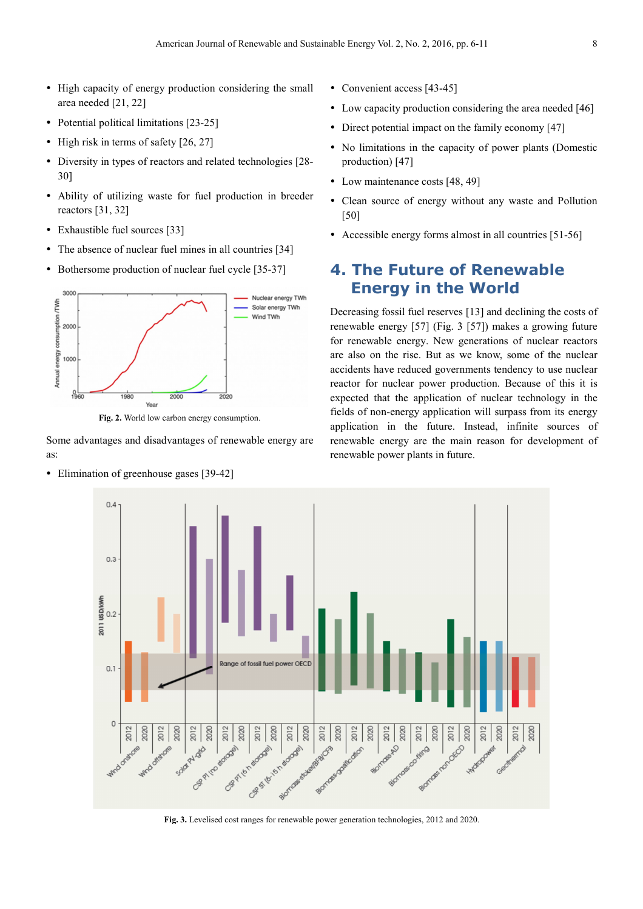- High capacity of energy production considering the small area needed [21, 22]
- Potential political limitations [23-25]
- $\bullet$  High risk in terms of safety [26, 27]
- Diversity in types of reactors and related technologies [28- 30]
- Ability of utilizing waste for fuel production in breeder reactors [31, 32]
- Exhaustible fuel sources [33]
- The absence of nuclear fuel mines in all countries [34]
- Bothersome production of nuclear fuel cycle [35-37]



**Fig. 2.** World low carbon energy consumption.

Some advantages and disadvantages of renewable energy are as:

Elimination of greenhouse gases [39-42]

- Convenient access [43-45]
- Low capacity production considering the area needed [46]
- Direct potential impact on the family economy [47]
- No limitations in the capacity of power plants (Domestic production) [47]
- Low maintenance costs [48, 49]
- Clean source of energy without any waste and Pollution [50]
- Accessible energy forms almost in all countries [51-56]

## **4. The Future of Renewable Energy in the World**

Decreasing fossil fuel reserves [13] and declining the costs of renewable energy [57] (Fig. 3 [57]) makes a growing future for renewable energy. New generations of nuclear reactors are also on the rise. But as we know, some of the nuclear accidents have reduced governments tendency to use nuclear reactor for nuclear power production. Because of this it is expected that the application of nuclear technology in the fields of non-energy application will surpass from its energy application in the future. Instead, infinite sources of renewable energy are the main reason for development of renewable power plants in future.



**Fig. 3.** Levelised cost ranges for renewable power generation technologies, 2012 and 2020.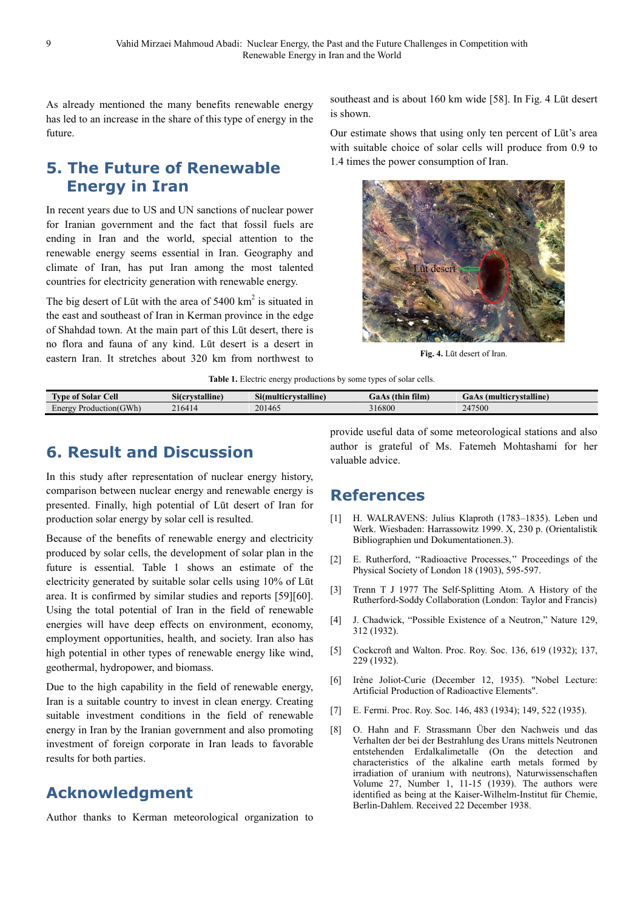As already mentioned the many benefits renewable energy has led to an increase in the share of this type of energy in the future.

## **5. The Future of Renewable Energy in Iran**

In recent years due to US and UN sanctions of nuclear power for Iranian government and the fact that fossil fuels are ending in Iran and the world, special attention to the renewable energy seems essential in Iran. Geography and climate of Iran, has put Iran among the most talented countries for electricity generation with renewable energy.

The big desert of Lūt with the area of  $5400 \text{ km}^2$  is situated in the east and southeast of Iran in Kerman province in the edge of Shahdad town. At the main part of this Lūt desert, there is no flora and fauna of any kind. Lūt desert is a desert in eastern Iran. It stretches about 320 km from northwest to

southeast and is about 160 km wide [58]. In Fig. 4 Lūt desert is shown.

Our estimate shows that using only ten percent of Lūt's area with suitable choice of solar cells will produce from 0.9 to 1.4 times the power consumption of Iran.



**Fig. 4.** Lūt desert of Iran.

**Table 1.** Electric energy productions by some types of solar cells.

| <b>CONTRACTOR</b><br>Cell<br>$\sim$<br>Type of<br>a Solar | $\sim$<br><br>Sitcrystalline | $\sim$<br>Si(multicrystalline) | $-1$<br>-<br>film)<br>GaAs (thìn | (multicrystalline)<br>GaAs |
|-----------------------------------------------------------|------------------------------|--------------------------------|----------------------------------|----------------------------|
| GWh)<br>Energy<br>roduction(C                             | 216414                       | 201465                         | 316800                           | 247500                     |

## **6. Result and Discussion**

In this study after representation of nuclear energy history, comparison between nuclear energy and renewable energy is presented. Finally, high potential of Lūt desert of Iran for production solar energy by solar cell is resulted.

Because of the benefits of renewable energy and electricity produced by solar cells, the development of solar plan in the future is essential. Table 1 shows an estimate of the electricity generated by suitable solar cells using 10% of Lūt area. It is confirmed by similar studies and reports [59][60]. Using the total potential of Iran in the field of renewable energies will have deep effects on environment, economy, employment opportunities, health, and society. Iran also has high potential in other types of renewable energy like wind, geothermal, hydropower, and biomass.

Due to the high capability in the field of renewable energy, Iran is a suitable country to invest in clean energy. Creating suitable investment conditions in the field of renewable energy in Iran by the Iranian government and also promoting investment of foreign corporate in Iran leads to favorable results for both parties.

## **Acknowledgment**

Author thanks to Kerman meteorological organization to

provide useful data of some meteorological stations and also author is grateful of Ms. Fatemeh Mohtashami for her valuable advice.

### **References**

- [1] H. WALRAVENS: Julius Klaproth (1783–1835). Leben und Werk. Wiesbaden: Harrassowitz 1999. X, 230 p. (Orientalistik Bibliographien und Dokumentationen.3).
- [2] E. Rutherford, ''Radioactive Processes,'' Proceedings of the Physical Society of London 18 (1903), 595-597.
- [3] Trenn T J 1977 The Self-Splitting Atom. A History of the Rutherford-Soddy Collaboration (London: Taylor and Francis)
- [4] J. Chadwick, "Possible Existence of a Neutron," Nature 129, 312 (1932).
- [5] Cockcroft and Walton. Proc. Roy. Soc. 136, 619 (1932); 137, 229 (1932).
- [6] Irène Joliot-Curie (December 12, 1935). "Nobel Lecture: Artificial Production of Radioactive Elements".
- [7] E. Fermi. Proc. Roy. Soc. 146, 483 (1934); 149, 522 (1935).
- [8] O. Hahn and F. Strassmann Über den Nachweis und das Verhalten der bei der Bestrahlung des Urans mittels Neutronen entstehenden Erdalkalimetalle (On the detection and characteristics of the alkaline earth metals formed by irradiation of uranium with neutrons), Naturwissenschaften Volume 27, Number 1, 11-15 (1939). The authors were identified as being at the Kaiser-Wilhelm-Institut für Chemie, Berlin-Dahlem. Received 22 December 1938.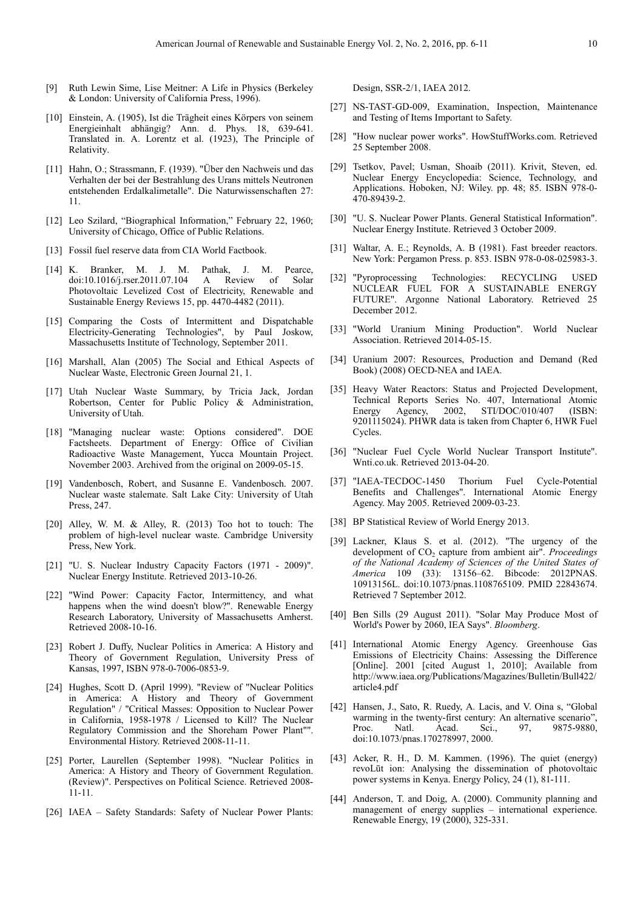- [9] Ruth Lewin Sime, Lise Meitner: A Life in Physics (Berkeley & London: University of California Press, 1996).
- [10] Einstein, A. (1905), Ist die Trägheit eines Körpers von seinem Energieinhalt abhängig? Ann. d. Phys. 18, 639-641. Translated in. A. Lorentz et al. (1923), The Principle of Relativity.
- [11] Hahn, O.; Strassmann, F. (1939). "Über den Nachweis und das Verhalten der bei der Bestrahlung des Urans mittels Neutronen entstehenden Erdalkalimetalle". Die Naturwissenschaften 27: 11.
- [12] Leo Szilard, "Biographical Information," February 22, 1960; University of Chicago, Office of Public Relations.
- [13] Fossil fuel reserve data from CIA World Factbook.
- [14] K. Branker, M. J. M. Pathak, J. M. Pearce, doi:10.1016/j.rser.2011.07.104 A Review of Solar Photovoltaic Levelized Cost of Electricity, Renewable and Sustainable Energy Reviews 15, pp. 4470-4482 (2011).
- [15] Comparing the Costs of Intermittent and Dispatchable Electricity-Generating Technologies", by Paul Joskow, Massachusetts Institute of Technology, September 2011.
- [16] Marshall, Alan (2005) The Social and Ethical Aspects of Nuclear Waste, Electronic Green Journal 21, 1.
- [17] Utah Nuclear Waste Summary, by Tricia Jack, Jordan Robertson, Center for Public Policy & Administration, University of Utah.
- [18] "Managing nuclear waste: Options considered". DOE Factsheets. Department of Energy: Office of Civilian Radioactive Waste Management, Yucca Mountain Project. November 2003. Archived from the original on 2009-05-15.
- [19] Vandenbosch, Robert, and Susanne E. Vandenbosch. 2007. Nuclear waste stalemate. Salt Lake City: University of Utah Press, 247.
- [20] Alley, W. M. & Alley, R. (2013) Too hot to touch: The problem of high-level nuclear waste. Cambridge University Press, New York.
- [21] "U. S. Nuclear Industry Capacity Factors (1971 2009)". Nuclear Energy Institute. Retrieved 2013-10-26.
- [22] "Wind Power: Capacity Factor, Intermittency, and what happens when the wind doesn't blow?". Renewable Energy Research Laboratory, University of Massachusetts Amherst. Retrieved 2008-10-16.
- [23] Robert J. Duffy, Nuclear Politics in America: A History and Theory of Government Regulation, University Press of Kansas, 1997, ISBN 978-0-7006-0853-9.
- [24] Hughes, Scott D. (April 1999). "Review of "Nuclear Politics in America: A History and Theory of Government Regulation" / "Critical Masses: Opposition to Nuclear Power in California, 1958-1978 / Licensed to Kill? The Nuclear Regulatory Commission and the Shoreham Power Plant"". Environmental History. Retrieved 2008-11-11.
- [25] Porter, Laurellen (September 1998). "Nuclear Politics in America: A History and Theory of Government Regulation. (Review)". Perspectives on Political Science. Retrieved 2008- 11-11.
- [26] IAEA Safety Standards: Safety of Nuclear Power Plants:

Design, SSR-2/1, IAEA 2012.

- [27] NS-TAST-GD-009, Examination, Inspection, Maintenance and Testing of Items Important to Safety.
- [28] "How nuclear power works". HowStuffWorks.com. Retrieved 25 September 2008.
- [29] Tsetkov, Pavel; Usman, Shoaib (2011). Krivit, Steven, ed. Nuclear Energy Encyclopedia: Science, Technology, and Applications. Hoboken, NJ: Wiley. pp. 48; 85. ISBN 978-0- 470-89439-2.
- [30] "U. S. Nuclear Power Plants. General Statistical Information". Nuclear Energy Institute. Retrieved 3 October 2009.
- [31] Waltar, A. E.; Reynolds, A. B (1981). Fast breeder reactors. New York: Pergamon Press. p. 853. ISBN 978-0-08-025983-3.
- [32] "Pyroprocessing Technologies: RECYCLING USED NUCLEAR FUEL FOR A SUSTAINABLE ENERGY FUTURE". Argonne National Laboratory. Retrieved 25 December 2012.
- [33] "World Uranium Mining Production". World Nuclear Association. Retrieved 2014-05-15.
- [34] Uranium 2007: Resources, Production and Demand (Red Book) (2008) OECD-NEA and IAEA.
- [35] Heavy Water Reactors: Status and Projected Development, Technical Reports Series No. 407, International Atomic Energy Agency, 2002, STI/DOC/010/407 (ISBN: 9201115024). PHWR data is taken from Chapter 6, HWR Fuel Cycles.
- [36] "Nuclear Fuel Cycle World Nuclear Transport Institute". Wnti.co.uk. Retrieved 2013-04-20.
- [37] "IAEA-TECDOC-1450 Thorium Fuel Cycle-Potential Benefits and Challenges". International Atomic Energy Agency. May 2005. Retrieved 2009-03-23.
- [38] BP Statistical Review of World Energy 2013.
- [39] Lackner, Klaus S. et al. (2012). "The urgency of the development of CO<sub>2</sub> capture from ambient air". *Proceedings of the National Academy of Sciences of the United States of America* 109 (33): 13156–62. Bibcode: 2012PNAS. 10913156L. doi:10.1073/pnas.1108765109. PMID 22843674. Retrieved 7 September 2012.
- [40] Ben Sills (29 August 2011). "Solar May Produce Most of World's Power by 2060, IEA Says". *Bloomberg*.
- [41] International Atomic Energy Agency. Greenhouse Gas Emissions of Electricity Chains: Assessing the Difference [Online]. 2001 [cited August 1, 2010]; Available from http://www.iaea.org/Publications/Magazines/Bulletin/Bull422/ article4.pdf
- [42] Hansen, J., Sato, R. Ruedy, A. Lacis, and V. Oina s, "Global warming in the twenty-first century: An alternative scenario",<br>Proc. Natl. Acad. Sci., 97, 9875-9880, 9875-9880. doi:10.1073/pnas.170278997, 2000.
- [43] Acker, R. H., D. M. Kammen. (1996). The quiet (energy) revoLūt ion: Analysing the dissemination of photovoltaic power systems in Kenya. Energy Policy, 24 (1), 81-111.
- [44] Anderson, T. and Doig, A. (2000). Community planning and management of energy supplies – international experience. Renewable Energy, 19 (2000), 325-331.